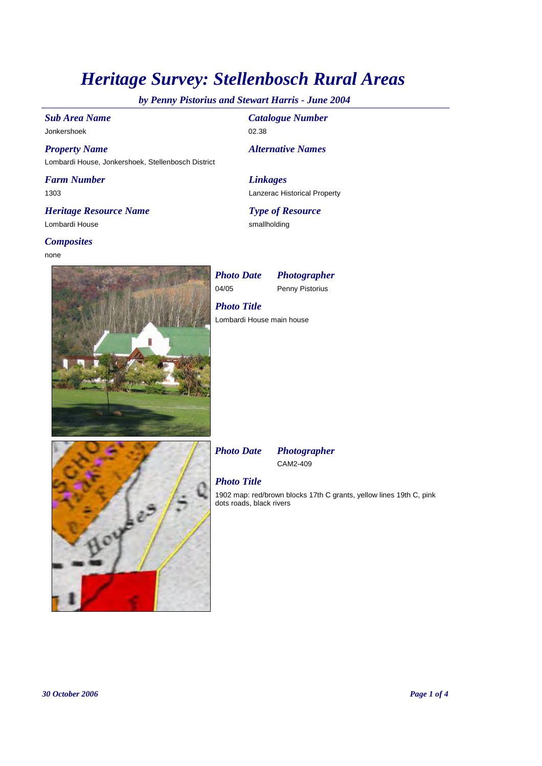# *Heritage Survey: Stellenbosch Rural Areas*

*by Penny Pistorius and Stewart Harris - June 2004*

*Sub Area Name* Jonkershoek

*Property Name* Lombardi House, Jonkershoek, Stellenbosch District

*Farm Number* 1303

*Heritage Resource Name* Lombardi House

### *Composites*

none



*Catalogue Number* 02.38

*Alternative Names*

*Linkages* Lanzerac Historical Property

*Type of Resource* smallholding

04/05 Penny Pistorius *Photo Date Photographer*

Lombardi House main house *Photo Title*



*Photo Date Photographer*

CAM2-409

## *Photo Title*

1902 map: red/brown blocks 17th C grants, yellow lines 19th C, pink dots roads, black rivers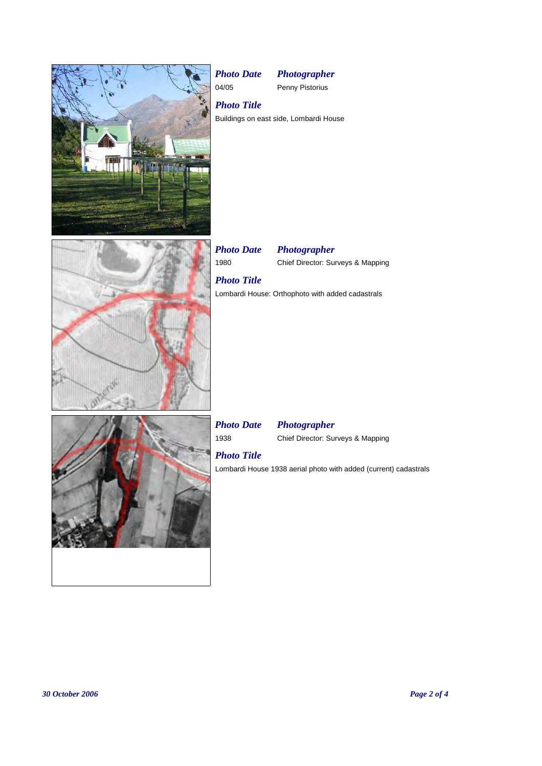

04/05 Penny Pistorius



Buildings on east side, Lombardi House *Photo Title*

1980 Chief Director: Surveys & Mapping *Photo Date Photographer*

# *Photo Title*

Lombardi House: Orthophoto with added cadastrals

## *Photo Date Photographer*

1938 Chief Director: Surveys & Mapping

# *Photo Title*

Lombardi House 1938 aerial photo with added (current) cadastrals

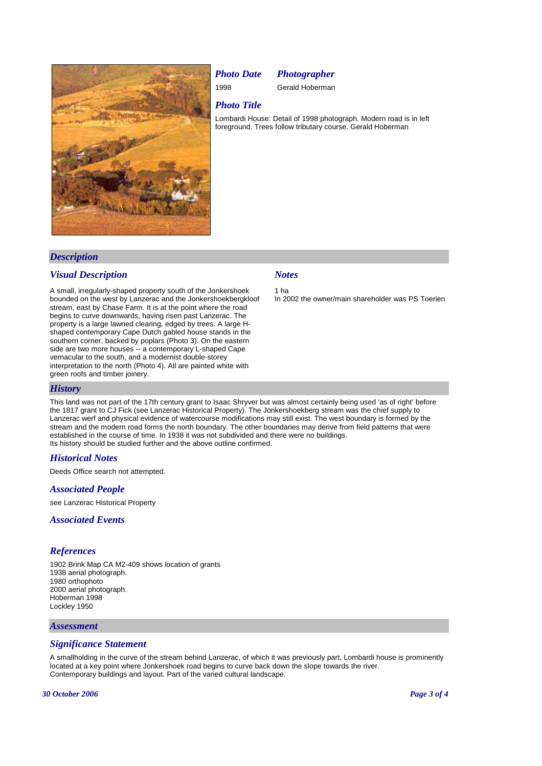

## *Photo Date Photographer*

1998 Gerald Hoberman

## *Photo Title*

Lombardi House: Detail of 1998 photograph. Modern road is in left foreground. Trees follow tributary course. Gerald Hoberman

## *Description*

### *Visual Description*

A small, irregularly-shaped property south of the Jonkershoek bounded on the west by Lanzerac and the Jonkershoekbergkloof stream, east by Chase Farm. It is at the point where the road begins to curve downwards, having risen past Lanzerac. The property is a large lawned clearing, edged by trees. A large Hshaped contemporary Cape Dutch gabled house stands in the southern corner, backed by poplars (Photo 3). On the eastern side are two more houses -- a contemporary L-shaped Cape vernacular to the south, and a modernist double-storey interpretation to the north (Photo 4). All are painted white with green roofs and timber joinery.

### *Notes*

1 ha In 2002 the owner/main shareholder was PS Toerien

## *History*

This land was not part of the 17th century grant to Isaac Shryver but was almost certainly being used 'as of right' before the 1817 grant to CJ Fick (see Lanzerac Historical Property). The Jonkershoekberg stream was the chief supply to Lanzerac werf and physical evidence of watercourse modifications may still exist. The west boundary is formed by the stream and the modern road forms the north boundary. The other boundaries may derive from field patterns that were established in the course of time. In 1938 it was not subdivided and there were no buildings. Its history should be studied further and the above outline confirmed.

### *Historical Notes*

Deeds Office search not attempted.

### *Associated People*

see Lanzerac Historical Property

#### *Associated Events*

### *References*

1902 Brink Map CA M2-409 shows location of grants 1938 aerial photograph. 1980 orthophoto 2000 aerial photograph. Hoberman 1998 Lockley 1950

#### *Assessment*

### *Significance Statement*

A smallholding in the curve of the stream behind Lanzerac, of which it was previously part, Lombardi house is prominently located at a key point where Jonkershoek road begins to curve back down the slope towards the river. Contemporary buildings and layout. Part of the varied cultural landscape.

#### *30 October 2006 Page 3 of 4*